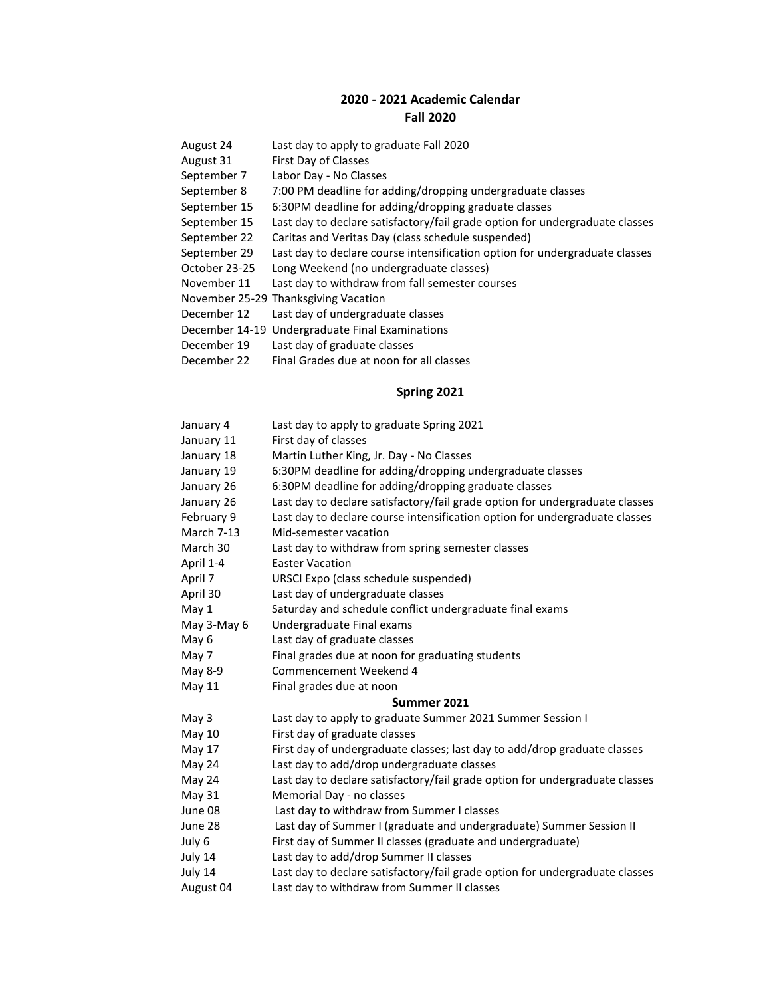## **2020 - 2021 Academic Calendar Fall 2020**

- August 24 Last day to apply to graduate Fall 2020
- August 31 First Day of Classes
- September 7 Labor Day No Classes
- September 8 7:00 PM deadline for adding/dropping undergraduate classes
- September 15 6:30PM deadline for adding/dropping graduate classes
- September 15 Last day to declare satisfactory/fail grade option for undergraduate classes
- September 22 Caritas and Veritas Day (class schedule suspended)
- September 29 Last day to declare course intensification option for undergraduate classes
- October 23-25 Long Weekend (no undergraduate classes)
- November 11 Last day to withdraw from fall semester courses
- November 25-29 Thanksgiving Vacation
- December 12 Last day of undergraduate classes
- December 14-19 Undergraduate Final Examinations
- December 19 Last day of graduate classes
- December 22 Final Grades due at noon for all classes

## **Spring 2021**

January 4 Last day to apply to graduate Spring 2021 January 11 First day of classes January 18 Martin Luther King, Jr. Day - No Classes January 19 6:30PM deadline for adding/dropping undergraduate classes January 26 6:30PM deadline for adding/dropping graduate classes January 26 Last day to declare satisfactory/fail grade option for undergraduate classes February 9 Last day to declare course intensification option for undergraduate classes March 7-13 Mid-semester vacation March 30 Last day to withdraw from spring semester classes April 1-4 Easter Vacation April 7 URSCI Expo (class schedule suspended) April 30 Last day of undergraduate classes May 1 Saturday and schedule conflict undergraduate final exams May 3-May 6 Undergraduate Final exams May 6 Last day of graduate classes May 7 Final grades due at noon for graduating students May 8-9 Commencement Weekend 4 May 11 Final grades due at noon **Summer 2021** May 3 Last day to apply to graduate Summer 2021 Summer Session I May 10 First day of graduate classes May 17 First day of undergraduate classes; last day to add/drop graduate classes May 24 Last day to add/drop undergraduate classes May 24 Last day to declare satisfactory/fail grade option for undergraduate classes May 31 Memorial Day - no classes June 08 Last day to withdraw from Summer I classes June 28 Last day of Summer I (graduate and undergraduate) Summer Session II July 6 First day of Summer II classes (graduate and undergraduate) July 14 Last day to add/drop Summer II classes July 14 Last day to declare satisfactory/fail grade option for undergraduate classes August 04 Last day to withdraw from Summer II classes